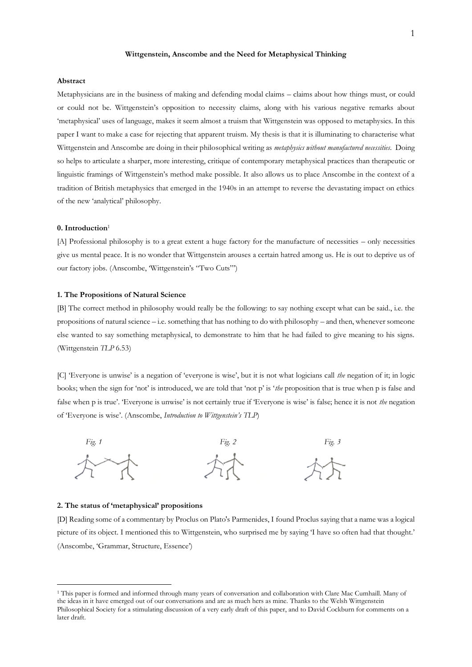#### **Wittgenstein, Anscombe and the Need for Metaphysical Thinking**

# **Abstract**

Metaphysicians are in the business of making and defending modal claims – claims about how things must, or could or could not be. Wittgenstein's opposition to necessity claims, along with his various negative remarks about 'metaphysical' uses of language, makes it seem almost a truism that Wittgenstein was opposed to metaphysics. In this paper I want to make a case for rejecting that apparent truism. My thesis is that it is illuminating to characterise what Wittgenstein and Anscombe are doing in their philosophical writing as *metaphysics without manufactured necessities*. Doing so helps to articulate a sharper, more interesting, critique of contemporary metaphysical practices than therapeutic or linguistic framings of Wittgenstein's method make possible. It also allows us to place Anscombe in the context of a tradition of British metaphysics that emerged in the 1940s in an attempt to reverse the devastating impact on ethics of the new 'analytical' philosophy.

## **0. Introduction**<sup>1</sup>

[A] Professional philosophy is to a great extent a huge factory for the manufacture of necessities – only necessities give us mental peace. It is no wonder that Wittgenstein arouses a certain hatred among us. He is out to deprive us of our factory jobs. (Anscombe, 'Wittgenstein's "Two Cuts"')

## **1. The Propositions of Natural Science**

[B] The correct method in philosophy would really be the following: to say nothing except what can be said., i.e. the propositions of natural science – i.e. something that has nothing to do with philosophy – and then, whenever someone else wanted to say something metaphysical, to demonstrate to him that he had failed to give meaning to his signs. (Wittgenstein *TLP* 6.53)

[C] 'Everyone is unwise' is a negation of 'everyone is wise', but it is not what logicians call *the* negation of it; in logic books; when the sign for 'not' is introduced, we are told that 'not p' is '*the* proposition that is true when p is false and false when p is true'. 'Everyone is unwise' is not certainly true if 'Everyone is wise' is false; hence it is not *the* negation of 'Everyone is wise'. (Anscombe, *Introduction to Wittgenstein's TLP*)



#### **2. The status of 'metaphysical' propositions**

[D] Reading some of a commentary by Proclus on Plato's Parmenides, I found Proclus saying that a name was a logical picture of its object. I mentioned this to Wittgenstein, who surprised me by saying 'I have so often had that thought.' (Anscombe, 'Grammar, Structure, Essence')

<sup>1</sup> This paper is formed and informed through many years of conversation and collaboration with Clare Mac Cumhaill. Many of the ideas in it have emerged out of our conversations and are as much hers as mine. Thanks to the Welsh Wittgenstein Philosophical Society for a stimulating discussion of a very early draft of this paper, and to David Cockburn for comments on a later draft.